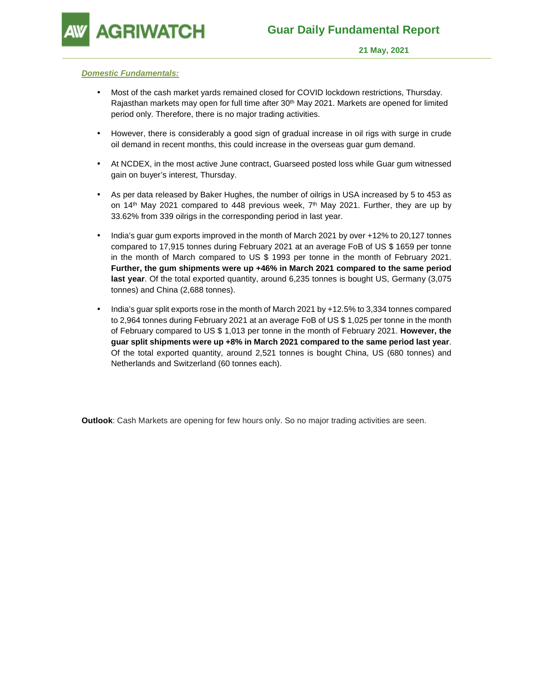**GRIWATCH** 

#### **Domestic Fundamentals:**

- Most of the cash market yards remained closed for COVID lockdown restrictions, Thursday. Rajasthan markets may open for full time after 30th May 2021. Markets are opened for limited period only. Therefore, there is no major trading activities.
- However, there is considerably a good sign of gradual increase in oil rigs with surge in crude oil demand in recent months, this could increase in the overseas guar gum demand.
- At NCDEX, in the most active June contract, Guarseed posted loss while Guar gum witnessed gain on buyer's interest, Thursday.
- As per data released by Baker Hughes, the number of oilrigs in USA increased by 5 to 453 as on 14<sup>th</sup> May 2021 compared to 448 previous week,  $7<sup>th</sup>$  May 2021. Further, they are up by 33.62% from 339 oilrigs in the corresponding period in last year.
- India's guar gum exports improved in the month of March 2021 by over +12% to 20,127 tonnes compared to 17,915 tonnes during February 2021 at an average FoB of US \$ 1659 per tonne in the month of March compared to US \$ 1993 per tonne in the month of February 2021. **Further, the gum shipments were up +46% in March 2021 compared to the same period last year**. Of the total exported quantity, around 6,235 tonnes is bought US, Germany (3,075 tonnes) and China (2,688 tonnes).
- India's guar split exports rose in the month of March 2021 by +12.5% to 3,334 tonnes compared to 2,964 tonnes during February 2021 at an average FoB of US \$ 1,025 per tonne in the month of February compared to US \$ 1,013 per tonne in the month of February 2021. **However, the guar split shipments were up +8% in March 2021 compared to the same period last year**. Of the total exported quantity, around 2,521 tonnes is bought China, US (680 tonnes) and Netherlands and Switzerland (60 tonnes each).

**Outlook**: Cash Markets are opening for few hours only. So no major trading activities are seen.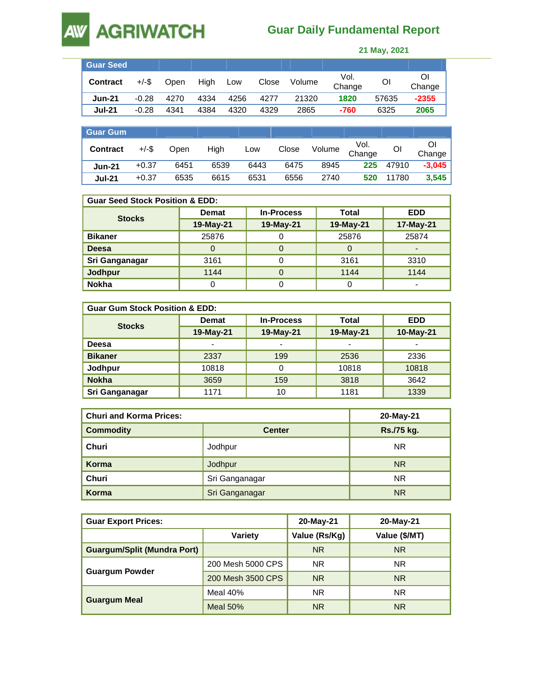# **AW AGRIWATCH**

# **Guar Daily Fundamental Report**

| 21 May, 2021 |  |
|--------------|--|
|--------------|--|

| <b>Guar Seed</b> |          |      |      |      |       |        |                |       |              |
|------------------|----------|------|------|------|-------|--------|----------------|-------|--------------|
| <b>Contract</b>  | $+/-$ \$ | Open | High | Low  | Close | Volume | Vol.<br>Change | Οl    | Οl<br>Change |
| <b>Jun-21</b>    | $-0.28$  | 4270 | 4334 | 4256 | 4277  | 21320  | 1820           | 57635 | $-2355$      |
| <b>Jul-21</b>    | $-0.28$  | 4341 | 4384 | 4320 | 4329  | 2865   | -760           | 6325  | 2065         |

| <b>Guar Gum</b> |          |      |      |      |       |        |                |       |              |
|-----------------|----------|------|------|------|-------|--------|----------------|-------|--------------|
| <b>Contract</b> | $+/-$ \$ | Open | High | Low  | Close | Volume | Vol.<br>Change | Οl    | ŐI<br>Change |
| <b>Jun-21</b>   | $+0.37$  | 6451 | 6539 | 6443 | 6475  | 8945   | 225            | 47910 | $-3,045$     |
| <b>Jul-21</b>   | $+0.37$  | 6535 | 6615 | 6531 | 6556  | 2740   | 520            | 11780 | 3,545        |

| <b>Guar Seed Stock Position &amp; EDD:</b> |              |                   |           |            |  |  |  |
|--------------------------------------------|--------------|-------------------|-----------|------------|--|--|--|
| <b>Stocks</b>                              | <b>Demat</b> | <b>In-Process</b> | Total     | <b>EDD</b> |  |  |  |
|                                            | 19-May-21    | 19-May-21         | 19-May-21 | 17-May-21  |  |  |  |
| <b>Bikaner</b>                             | 25876        |                   | 25876     | 25874      |  |  |  |
| Deesa                                      | 0            | 0                 | 0         | -          |  |  |  |
| Sri Ganganagar                             | 3161         |                   | 3161      | 3310       |  |  |  |
| Jodhpur                                    | 1144         | 0                 | 1144      | 1144       |  |  |  |
| <b>Nokha</b>                               | 0            |                   |           | -          |  |  |  |

| <b>Guar Gum Stock Position &amp; EDD:</b> |                          |                          |           |            |  |  |  |
|-------------------------------------------|--------------------------|--------------------------|-----------|------------|--|--|--|
|                                           | <b>Demat</b>             | <b>In-Process</b>        | Total     | <b>EDD</b> |  |  |  |
| <b>Stocks</b>                             | 19-May-21                | 19-May-21                | 19-May-21 | 10-May-21  |  |  |  |
| Deesa                                     | $\overline{\phantom{a}}$ | $\overline{\phantom{0}}$ | -         |            |  |  |  |
| <b>Bikaner</b>                            | 2337                     | 199                      | 2536      | 2336       |  |  |  |
| Jodhpur                                   | 10818                    | 0                        | 10818     | 10818      |  |  |  |
| <b>Nokha</b>                              | 3659                     | 159                      | 3818      | 3642       |  |  |  |
| Sri Ganganagar                            | 1171                     | 10                       | 1181      | 1339       |  |  |  |

| <b>Churi and Korma Prices:</b> | 20-May-21      |            |
|--------------------------------|----------------|------------|
| <b>Commodity</b>               | <b>Center</b>  | Rs./75 kg. |
| Churi                          | Jodhpur        | NR.        |
| Korma                          | Jodhpur        | <b>NR</b>  |
| Churi                          | Sri Ganganagar | <b>NR</b>  |
| Korma                          | Sri Ganganagar | <b>NR</b>  |

| <b>Guar Export Prices:</b>         |                   | 20-May-21     | 20-May-21     |
|------------------------------------|-------------------|---------------|---------------|
|                                    | Variety           | Value (Rs/Kg) | Value (\$/MT) |
| <b>Guargum/Split (Mundra Port)</b> |                   | <b>NR</b>     | <b>NR</b>     |
| <b>Guargum Powder</b>              | 200 Mesh 5000 CPS | NR.           | <b>NR</b>     |
|                                    | 200 Mesh 3500 CPS | <b>NR</b>     | <b>NR</b>     |
|                                    | Meal $40\%$       | NR.           | <b>NR</b>     |
| <b>Guargum Meal</b>                | Meal $50%$        | <b>NR</b>     | <b>NR</b>     |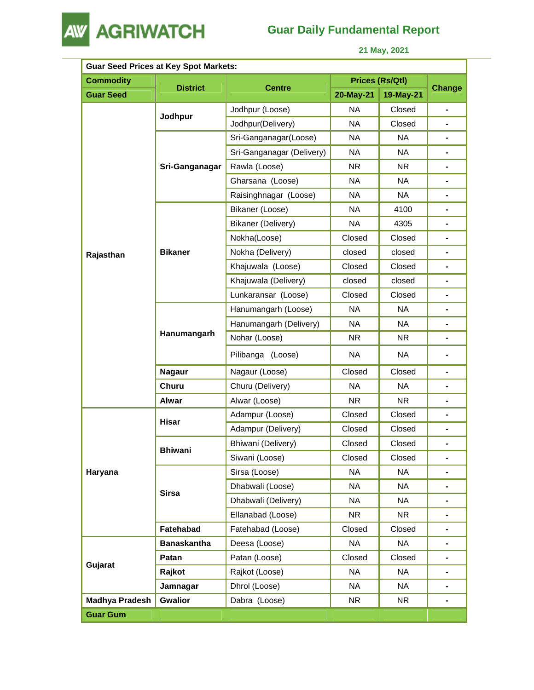

## **Guar Daily Fundamental Report**

 **21 May, 2021** 

| <b>Guar Seed Prices at Key Spot Markets:</b> |                    |                           |           |                        |        |  |  |  |
|----------------------------------------------|--------------------|---------------------------|-----------|------------------------|--------|--|--|--|
| <b>Commodity</b>                             | <b>District</b>    | <b>Centre</b>             |           | <b>Prices (Rs/Qtl)</b> | Change |  |  |  |
| <b>Guar Seed</b>                             |                    |                           | 20-May-21 | 19-May-21              |        |  |  |  |
|                                              | Jodhpur            | Jodhpur (Loose)           | <b>NA</b> | Closed                 | ۰      |  |  |  |
|                                              |                    | Jodhpur(Delivery)         | <b>NA</b> | Closed                 |        |  |  |  |
|                                              |                    | Sri-Ganganagar(Loose)     | <b>NA</b> | <b>NA</b>              | ۰      |  |  |  |
|                                              |                    | Sri-Ganganagar (Delivery) | NA.       | <b>NA</b>              |        |  |  |  |
|                                              | Sri-Ganganagar     | Rawla (Loose)             | NR.       | NR.                    |        |  |  |  |
|                                              |                    | Gharsana (Loose)          | <b>NA</b> | <b>NA</b>              | ٠      |  |  |  |
|                                              |                    | Raisinghnagar (Loose)     | NA.       | <b>NA</b>              | ۰      |  |  |  |
|                                              |                    | Bikaner (Loose)           | NA.       | 4100                   | ۰      |  |  |  |
|                                              |                    | Bikaner (Delivery)        | <b>NA</b> | 4305                   |        |  |  |  |
|                                              |                    | Nokha(Loose)              | Closed    | Closed                 | ۰      |  |  |  |
| Rajasthan                                    | <b>Bikaner</b>     | Nokha (Delivery)          | closed    | closed                 | ۰      |  |  |  |
| Haryana<br>Gujarat<br><b>Madhya Pradesh</b>  |                    | Khajuwala (Loose)         | Closed    | Closed                 |        |  |  |  |
|                                              |                    | Khajuwala (Delivery)      | closed    | closed                 |        |  |  |  |
|                                              |                    | Lunkaransar (Loose)       | Closed    | Closed                 | ۰      |  |  |  |
|                                              | Hanumangarh        | Hanumangarh (Loose)       | NA.       | <b>NA</b>              | ۰      |  |  |  |
|                                              |                    | Hanumangarh (Delivery)    | <b>NA</b> | <b>NA</b>              |        |  |  |  |
|                                              |                    | Nohar (Loose)             | NR.       | <b>NR</b>              | ٠      |  |  |  |
|                                              |                    | Pilibanga (Loose)         | <b>NA</b> | <b>NA</b>              |        |  |  |  |
|                                              | <b>Nagaur</b>      | Nagaur (Loose)            | Closed    | Closed                 | ٠      |  |  |  |
|                                              | Churu              | Churu (Delivery)          | <b>NA</b> | <b>NA</b>              |        |  |  |  |
|                                              | <b>Alwar</b>       | Alwar (Loose)             | <b>NR</b> | NR.                    |        |  |  |  |
|                                              | <b>Hisar</b>       | Adampur (Loose)           | Closed    | Closed                 | ٠      |  |  |  |
|                                              |                    | Adampur (Delivery)        | Closed    | Closed                 | ٠      |  |  |  |
|                                              | <b>Bhiwani</b>     | Bhiwani (Delivery)        | Closed    | Closed                 |        |  |  |  |
|                                              |                    | Siwani (Loose)            | Closed    | Closed                 |        |  |  |  |
|                                              |                    | Sirsa (Loose)             | <b>NA</b> | <b>NA</b>              |        |  |  |  |
|                                              | <b>Sirsa</b>       | Dhabwali (Loose)          | NA        | <b>NA</b>              |        |  |  |  |
|                                              |                    | Dhabwali (Delivery)       | NA        | <b>NA</b>              |        |  |  |  |
|                                              |                    | Ellanabad (Loose)         | <b>NR</b> | <b>NR</b>              | ۰      |  |  |  |
|                                              | Fatehabad          | Fatehabad (Loose)         | Closed    | Closed                 | ۰      |  |  |  |
|                                              | <b>Banaskantha</b> | Deesa (Loose)             | NA        | <b>NA</b>              |        |  |  |  |
|                                              | Patan              | Patan (Loose)             | Closed    | Closed                 |        |  |  |  |
|                                              | Rajkot             | Rajkot (Loose)            | <b>NA</b> | <b>NA</b>              | ۰      |  |  |  |
|                                              | Jamnagar           | Dhrol (Loose)             | NA        | NA                     | ۰      |  |  |  |
|                                              | <b>Gwalior</b>     | Dabra (Loose)             | NR.       | NR.                    |        |  |  |  |
| <b>Guar Gum</b>                              |                    |                           |           |                        |        |  |  |  |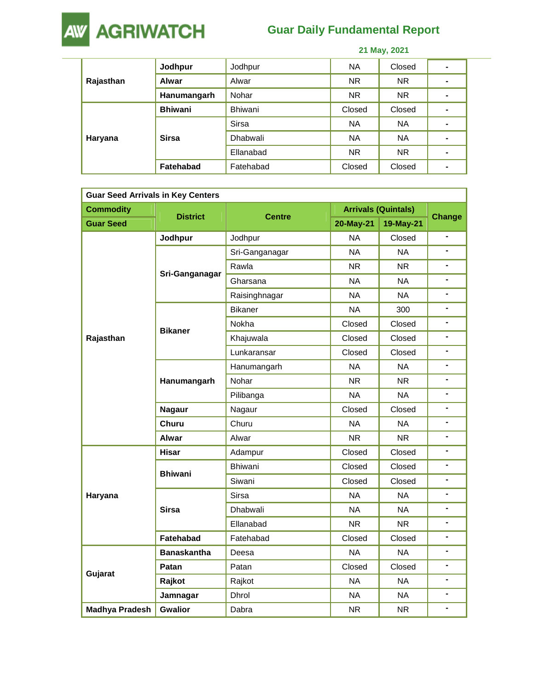

#### **Guar Daily Fundamental Report**

|           |                |              |           | 21 May, 2021 |   |
|-----------|----------------|--------------|-----------|--------------|---|
|           | Jodhpur        | Jodhpur      | <b>NA</b> | Closed       | ۰ |
| Rajasthan | Alwar          | Alwar        | NR.       | NR.          | ۰ |
|           | Hanumangarh    | Nohar        | <b>NR</b> | <b>NR</b>    | ۰ |
|           | <b>Bhiwani</b> | Bhiwani      | Closed    | Closed       | ۰ |
|           | <b>Sirsa</b>   | <b>Sirsa</b> | <b>NA</b> | <b>NA</b>    | ۰ |
| Haryana   |                | Dhabwali     | <b>NA</b> | <b>NA</b>    | ۰ |
|           |                | Ellanabad    | <b>NR</b> | <b>NR</b>    | ۰ |
|           | Fatehabad      | Fatehabad    | Closed    | Closed       | ۰ |

| <b>Guar Seed Arrivals in Key Centers</b> |                    |                |           |                            |                |
|------------------------------------------|--------------------|----------------|-----------|----------------------------|----------------|
| <b>Commodity</b>                         |                    |                |           | <b>Arrivals (Quintals)</b> |                |
| <b>Guar Seed</b>                         | <b>District</b>    | <b>Centre</b>  | 20-May-21 | 19-May-21                  | <b>Change</b>  |
|                                          | Jodhpur            | Jodhpur        | <b>NA</b> | Closed                     | $\blacksquare$ |
|                                          |                    | Sri-Ganganagar | <b>NA</b> | <b>NA</b>                  |                |
|                                          |                    | Rawla          | <b>NR</b> | <b>NR</b>                  | ٠              |
|                                          | Sri-Ganganagar     | Gharsana       | <b>NA</b> | <b>NA</b>                  |                |
|                                          |                    | Raisinghnagar  | <b>NA</b> | <b>NA</b>                  | $\blacksquare$ |
|                                          |                    | <b>Bikaner</b> | <b>NA</b> | 300                        |                |
|                                          | <b>Bikaner</b>     | Nokha          | Closed    | Closed                     | ä,             |
| Rajasthan                                |                    | Khajuwala      | Closed    | Closed                     |                |
|                                          |                    | Lunkaransar    | Closed    | Closed                     | ٠              |
|                                          | Hanumangarh        | Hanumangarh    | <b>NA</b> | NA.                        |                |
|                                          |                    | Nohar          | <b>NR</b> | <b>NR</b>                  | $\blacksquare$ |
|                                          |                    | Pilibanga      | <b>NA</b> | NA                         |                |
|                                          | <b>Nagaur</b>      | Nagaur         | Closed    | Closed                     | $\blacksquare$ |
|                                          | Churu              | Churu          | <b>NA</b> | NA.                        |                |
|                                          | Alwar              | Alwar          | <b>NR</b> | <b>NR</b>                  | $\blacksquare$ |
|                                          | <b>Hisar</b>       | Adampur        | Closed    | Closed                     |                |
|                                          | <b>Bhiwani</b>     | <b>Bhiwani</b> | Closed    | Closed                     | ٠              |
|                                          |                    | Siwani         | Closed    | Closed                     | ۰              |
| Haryana                                  |                    | <b>Sirsa</b>   | <b>NA</b> | <b>NA</b>                  | ÷              |
|                                          | <b>Sirsa</b>       | Dhabwali       | <b>NA</b> | <b>NA</b>                  | ۰              |
|                                          |                    | Ellanabad      | <b>NR</b> | <b>NR</b>                  | ٠              |
|                                          | <b>Fatehabad</b>   | Fatehabad      | Closed    | Closed                     | $\blacksquare$ |
|                                          | <b>Banaskantha</b> | Deesa          | <b>NA</b> | <b>NA</b>                  | ٠              |
|                                          | Patan              | Patan          | Closed    | Closed                     | ٠              |
| Gujarat                                  | Rajkot             | Rajkot         | <b>NA</b> | <b>NA</b>                  |                |
|                                          | Jamnagar           | Dhrol          | <b>NA</b> | <b>NA</b>                  | ä,             |
| <b>Madhya Pradesh</b>                    | <b>Gwalior</b>     | Dabra          | <b>NR</b> | NR.                        | $\overline{a}$ |